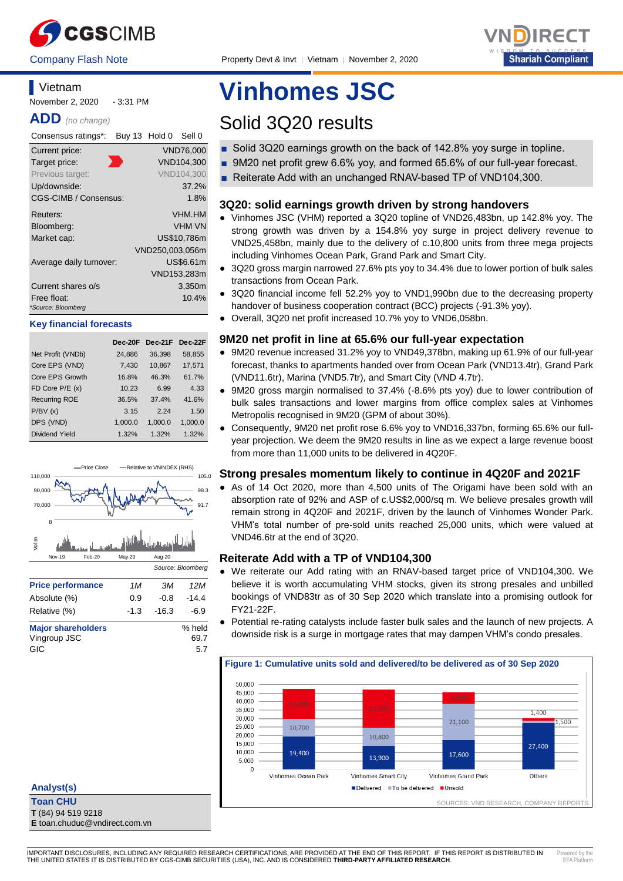



# **Vietnam**

November 2, 2020 - 3:31 PM

**ADD** *(no change)*

| Consensus ratings*:     | Buy 13 Hold 0 |                 | Sell 0            |
|-------------------------|---------------|-----------------|-------------------|
| Current price:          |               |                 | <b>VND76,000</b>  |
| Target price:           |               |                 | VND104.300        |
| Previous target:        |               |                 | <b>VND104.300</b> |
| Up/downside:            |               |                 | 37.2%             |
| CGS-CIMB / Consensus:   |               |                 | 1.8%              |
| Reuters:                |               |                 | <b>VHM.HM</b>     |
| Bloomberg:              |               |                 | <b>VHM VN</b>     |
| Market cap:             |               |                 | US\$10,786m       |
|                         |               | VND250,003,056m |                   |
| Average daily turnover: |               |                 | US\$6.61m         |
|                         |               |                 | VND153,283m       |
| Current shares o/s      |               |                 | 3,350m            |
| Free float:             |               |                 | 10.4%             |
| *Source: Bloomberg      |               |                 |                   |

#### **Key financial forecasts**

|                      | Dec-20F | $Dec-21F$ | Dec-22F |
|----------------------|---------|-----------|---------|
| Net Profit (VNDb)    | 24,886  | 36,398    | 58,855  |
| Core EPS (VND)       | 7,430   | 10,867    | 17,571  |
| Core EPS Growth      | 16.8%   | 46.3%     | 61.7%   |
| FD Core $P/E(x)$     | 10.23   | 6.99      | 4.33    |
| <b>Recurring ROE</b> | 36.5%   | 37.4%     | 41.6%   |
| P/BV(x)              | 3.15    | 2 24      | 1.50    |
| DPS (VND)            | 1,000.0 | 1,000.0   | 1,000.0 |
| Dividend Yield       | 1.32%   | 1.32%     | 1.32%   |



# **Analyst(s)**

**Toan CHU T** (84) 94 519 9218

**E** toan.chuduc@vndirect.com.vn

# **Vinhomes JSC**

# Solid 3Q20 results

- Solid 3Q20 earnings growth on the back of 142.8% yoy surge in topline.
- 9M20 net profit grew 6.6% yoy, and formed 65.6% of our full-year forecast.
- Reiterate Add with an unchanged RNAV-based TP of VND104,300.

# **3Q20: solid earnings growth driven by strong handovers**

- Vinhomes JSC (VHM) reported a 3Q20 topline of VND26,483bn, up 142.8% yoy. The strong growth was driven by a 154.8% yoy surge in project delivery revenue to VND25,458bn, mainly due to the delivery of c.10,800 units from three mega projects including Vinhomes Ocean Park, Grand Park and Smart City.
- 3Q20 gross margin narrowed 27.6% pts yoy to 34.4% due to lower portion of bulk sales transactions from Ocean Park.
- 3Q20 financial income fell 52.2% yoy to VND1,990bn due to the decreasing property handover of business cooperation contract (BCC) projects (-91.3% yoy).
- Overall, 3Q20 net profit increased 10.7% yoy to VND6,058bn.

# **9M20 net profit in line at 65.6% our full-year expectation**

- 9M20 revenue increased 31.2% yoy to VND49,378bn, making up 61.9% of our full-year forecast, thanks to apartments handed over from Ocean Park (VND13.4tr), Grand Park (VND11.6tr), Marina (VND5.7tr), and Smart City (VND 4.7tr).
- 9M20 gross margin normalised to 37.4% (-8.6% pts yoy) due to lower contribution of bulk sales transactions and lower margins from office complex sales at Vinhomes Metropolis recognised in 9M20 (GPM of about 30%).
- Consequently, 9M20 net profit rose 6.6% yoy to VND16,337bn, forming 65.6% our fullyear projection. We deem the 9M20 results in line as we expect a large revenue boost from more than 11,000 units to be delivered in 4Q20F.

## **Strong presales momentum likely to continue in 4Q20F and 2021F**

● As of 14 Oct 2020, more than 4,500 units of The Origami have been sold with an absorption rate of 92% and ASP of c.US\$2,000/sq m. We believe presales growth will remain strong in 4Q20F and 2021F, driven by the launch of Vinhomes Wonder Park. VHM's total number of pre-sold units reached 25,000 units, which were valued at VND46.6tr at the end of 3Q20.

## **Reiterate Add with a TP of VND104,300**

- We reiterate our Add rating with an RNAV-based target price of VND104,300. We believe it is worth accumulating VHM stocks, given its strong presales and unbilled bookings of VND83tr as of 30 Sep 2020 which translate into a promising outlook for FY21-22F.
- Potential re-rating catalysts include faster bulk sales and the launch of new projects. A downside risk is a surge in mortgage rates that may dampen VHM's condo presales.



IMPORTANT DISCLOSURES, INCLUDING ANY REQUIRED RESEARCH CERTIFICATIONS, ARE PROVIDED AT THE END OF THIS REPORT. IF THIS REPORT IS DISTRIBUTED IN THE UNITED STATES IT IS DISTRIBUTED BY CGS-CIMB SECURITIES (USA), INC. AND IS CONSIDERED **THIRD-PARTY AFFILIATED RESEARCH**.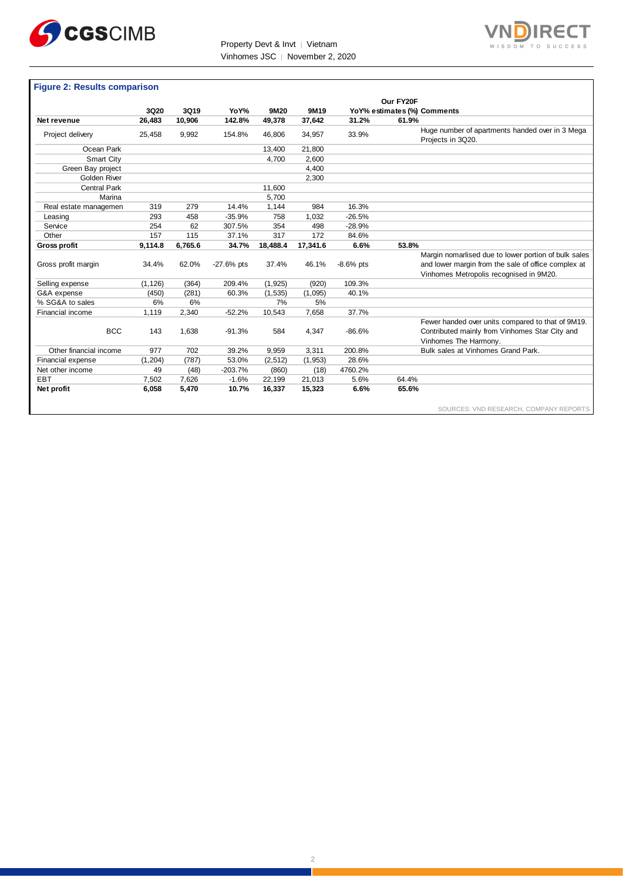

Property Devt & Invt │ Vietnam Vinhomes JSC │ November 2, 2020



#### **Figure 2: Results comparison**

|                        |          |         |              |          |          |             | Our FY20F                   |                                                                      |
|------------------------|----------|---------|--------------|----------|----------|-------------|-----------------------------|----------------------------------------------------------------------|
|                        | 3Q20     | 3Q19    | YoY%         | 9M20     | 9M19     |             | YoY% estimates (%) Comments |                                                                      |
| Net revenue            | 26,483   | 10,906  | 142.8%       | 49,378   | 37,642   | 31.2%       | 61.9%                       |                                                                      |
| Project delivery       | 25,458   | 9,992   | 154.8%       | 46,806   | 34,957   | 33.9%       |                             | Huge number of apartments handed over in 3 Mega<br>Projects in 3Q20. |
| Ocean Park             |          |         |              | 13,400   | 21,800   |             |                             |                                                                      |
| Smart City             |          |         |              | 4,700    | 2,600    |             |                             |                                                                      |
| Green Bay project      |          |         |              |          | 4,400    |             |                             |                                                                      |
| Golden River           |          |         |              |          | 2,300    |             |                             |                                                                      |
| <b>Central Park</b>    |          |         |              | 11,600   |          |             |                             |                                                                      |
| Marina                 |          |         |              | 5,700    |          |             |                             |                                                                      |
| Real estate managemen  | 319      | 279     | 14.4%        | 1,144    | 984      | 16.3%       |                             |                                                                      |
| Leasing                | 293      | 458     | $-35.9%$     | 758      | 1,032    | $-26.5%$    |                             |                                                                      |
| Service                | 254      | 62      | 307.5%       | 354      | 498      | $-28.9%$    |                             |                                                                      |
| Other                  | 157      | 115     | 37.1%        | 317      | 172      | 84.6%       |                             |                                                                      |
| <b>Gross profit</b>    | 9,114.8  | 6,765.6 | 34.7%        | 18,488.4 | 17,341.6 | 6.6%        | 53.8%                       |                                                                      |
|                        |          |         |              |          |          |             |                             | Margin nomarlised due to lower portion of bulk sales                 |
| Gross profit margin    | 34.4%    | 62.0%   | $-27.6%$ pts | 37.4%    | 46.1%    | $-8.6%$ pts |                             | and lower margin from the sale of office complex at                  |
|                        |          |         |              |          |          |             |                             | Vinhomes Metropolis recognised in 9M20.                              |
| Selling expense        | (1, 126) | (364)   | 209.4%       | (1, 925) | (920)    | 109.3%      |                             |                                                                      |
| G&A expense            | (450)    | (281)   | 60.3%        | (1, 535) | (1,095)  | 40.1%       |                             |                                                                      |
| % SG&A to sales        | 6%       | 6%      |              | 7%       | 5%       |             |                             |                                                                      |
| Financial income       | 1,119    | 2,340   | $-52.2%$     | 10,543   | 7,658    | 37.7%       |                             |                                                                      |
|                        |          |         |              |          |          |             |                             | Fewer handed over units compared to that of 9M19.                    |
| <b>BCC</b>             | 143      | 1,638   | $-91.3%$     | 584      | 4,347    | $-86.6%$    |                             | Contributed mainly from Vinhomes Star City and                       |
|                        |          |         |              |          |          |             |                             | Vinhomes The Harmony.                                                |
| Other financial income | 977      | 702     | 39.2%        | 9,959    | 3,311    | 200.8%      |                             | Bulk sales at Vinhomes Grand Park.                                   |
| Financial expense      | (1, 204) | (787)   | 53.0%        | (2, 512) | (1,953)  | 28.6%       |                             |                                                                      |
| Net other income       | 49       | (48)    | $-203.7%$    | (860)    | (18)     | 4760.2%     |                             |                                                                      |
| <b>EBT</b>             | 7,502    | 7,626   | $-1.6%$      | 22,199   | 21,013   | 5.6%        | 64.4%                       |                                                                      |
| Net profit             | 6,058    | 5,470   | 10.7%        | 16,337   | 15,323   | 6.6%        | 65.6%                       |                                                                      |
|                        |          |         |              |          |          |             |                             | SOURCES: VND RESEARCH, COMPANY REPORTS                               |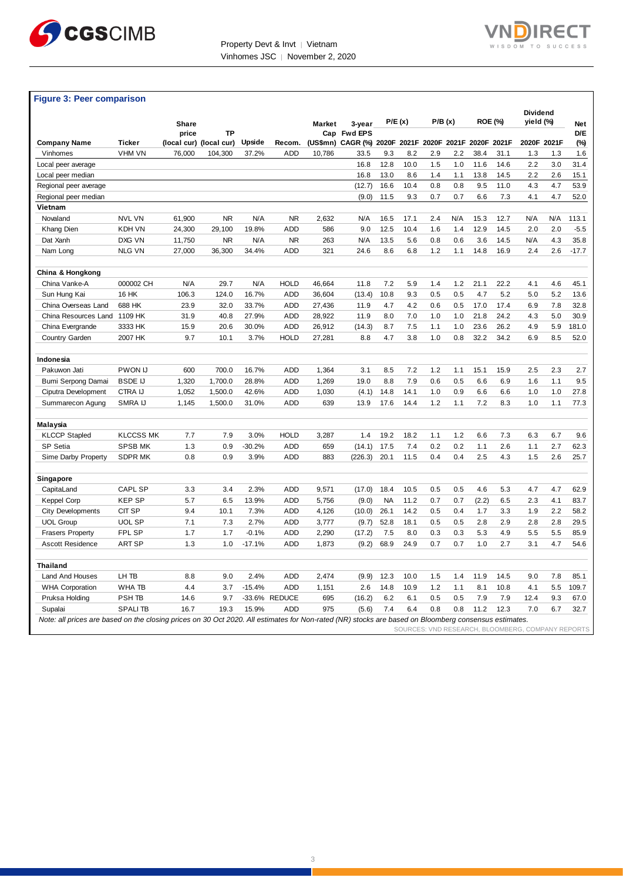



# **Figure 3: Peer comparison**

|                                                                                                                                                      |                  |        |                               |          |               |               |                                                          | P/E(x)<br>P/B(x) |      |     |     |                | Dividend<br>yield (%)             |             |     |                        |
|------------------------------------------------------------------------------------------------------------------------------------------------------|------------------|--------|-------------------------------|----------|---------------|---------------|----------------------------------------------------------|------------------|------|-----|-----|----------------|-----------------------------------|-------------|-----|------------------------|
|                                                                                                                                                      |                  | Share  |                               |          |               | <b>Market</b> | 3-year                                                   |                  |      |     |     | <b>ROE (%)</b> |                                   |             |     | Net                    |
| <b>Company Name</b>                                                                                                                                  | <b>Ticker</b>    | price  | ΤP<br>(local cur) (local cur) | Upside   | Recom.        |               | Cap Fwd EPS<br>(US\$mn) CAGR (%) 2020F 2021F 2020F 2021F |                  |      |     |     | 2020F          | 2021F                             | 2020F 2021F |     | D/E<br>$(\%)$          |
| Vinhomes                                                                                                                                             | VHM VN           | 76,000 | 104,300                       | 37.2%    | <b>ADD</b>    | 10,786        | 33.5                                                     | 9.3              | 8.2  | 2.9 | 2.2 | 38.4           | 31.1                              | 1.3         | 1.3 | 1.6                    |
| Local peer average                                                                                                                                   |                  |        |                               |          |               |               | 16.8                                                     | 12.8             | 10.0 | 1.5 | 1.0 | 11.6           | 14.6                              | 2.2         | 3.0 | 31.4                   |
| Local peer median                                                                                                                                    |                  |        |                               |          |               |               | 16.8                                                     | 13.0             | 8.6  | 1.4 | 1.1 | 13.8           | 14.5                              | 2.2         | 2.6 | 15.1                   |
| Regional peer average                                                                                                                                |                  |        |                               |          |               |               | (12.7)                                                   | 16.6             | 10.4 | 0.8 | 0.8 | 9.5            | 11.0                              | 4.3         | 4.7 | 53.9                   |
| Regional peer median                                                                                                                                 |                  |        |                               |          |               |               | (9.0)                                                    | 11.5             | 9.3  | 0.7 | 0.7 | 6.6            | 7.3                               | 4.1         | 4.7 | 52.0                   |
| Vietnam                                                                                                                                              |                  |        |                               |          |               |               |                                                          |                  |      |     |     |                |                                   |             |     |                        |
| Novaland                                                                                                                                             | <b>NVL VN</b>    | 61,900 | <b>NR</b>                     | N/A      | <b>NR</b>     | 2,632         | N/A                                                      | 16.5             | 17.1 | 2.4 | N/A | 15.3           | 12.7                              | N/A         | N/A | 113.1                  |
| Khang Dien                                                                                                                                           | <b>KDH VN</b>    | 24,300 | 29,100                        | 19.8%    | <b>ADD</b>    | 586           | 9.0                                                      | 12.5             | 10.4 | 1.6 | 1.4 | 12.9           | 14.5                              | 2.0         | 2.0 | $-5.5$                 |
| Dat Xanh                                                                                                                                             | DXG VN           | 11,750 | <b>NR</b>                     | N/A      | <b>NR</b>     | 263           | N/A                                                      | 13.5             | 5.6  | 0.8 | 0.6 | 3.6            | 14.5                              | N/A         | 4.3 | 35.8                   |
| Nam Long                                                                                                                                             | <b>NLG VN</b>    | 27,000 | 36,300                        | 34.4%    | <b>ADD</b>    | 321           | 24.6                                                     | 8.6              | 6.8  | 1.2 | 1.1 | 14.8           | 16.9                              | 2.4         | 2.6 | $-17.7$                |
|                                                                                                                                                      |                  |        |                               |          |               |               |                                                          |                  |      |     |     |                |                                   |             |     |                        |
| China & Hongkong                                                                                                                                     |                  |        |                               |          |               |               |                                                          |                  |      |     |     |                |                                   |             |     |                        |
| China Vanke-A                                                                                                                                        | 000002 CH        | N/A    | 29.7                          | N/A      | <b>HOLD</b>   | 46,664        | 11.8                                                     | 7.2              | 5.9  | 1.4 | 1.2 | 21.1           | 22.2                              | 4.1         | 4.6 | 45.1                   |
| Sun Hung Kai                                                                                                                                         | 16 HK            | 106.3  | 124.0                         | 16.7%    | <b>ADD</b>    | 36,604        | (13.4)                                                   | 10.8             | 9.3  | 0.5 | 0.5 | 4.7            | 5.2                               | 5.0         | 5.2 | 13.6                   |
| China Overseas Land                                                                                                                                  | 688 HK           | 23.9   | 32.0                          | 33.7%    | <b>ADD</b>    | 27,436        | 11.9                                                     | 4.7              | 4.2  | 0.6 | 0.5 | 17.0           | 17.4                              | 6.9         | 7.8 | 32.8                   |
| China Resources Land                                                                                                                                 | 1109 HK          | 31.9   | 40.8                          | 27.9%    | <b>ADD</b>    | 28,922        | 11.9                                                     | 8.0              | 7.0  | 1.0 | 1.0 | 21.8           | 24.2                              | 4.3         | 5.0 | 30.9                   |
| China Evergrande                                                                                                                                     | 3333 HK          | 15.9   | 20.6                          | 30.0%    | <b>ADD</b>    | 26,912        | (14.3)                                                   | 8.7              | 7.5  | 1.1 | 1.0 | 23.6           | 26.2                              | 4.9         | 5.9 | 181.0                  |
| Country Garden                                                                                                                                       | 2007 HK          | 9.7    | 10.1                          | 3.7%     | <b>HOLD</b>   | 27,281        | 8.8                                                      | 4.7              | 3.8  | 1.0 | 0.8 | 32.2           | 34.2                              | 6.9         | 8.5 | 52.0                   |
|                                                                                                                                                      |                  |        |                               |          |               |               |                                                          |                  |      |     |     |                |                                   |             |     |                        |
| Indonesia                                                                                                                                            |                  |        |                               |          |               |               |                                                          |                  |      |     |     |                |                                   |             |     |                        |
| Pakuwon Jati                                                                                                                                         | PWON IJ          | 600    | 700.0                         | 16.7%    | <b>ADD</b>    | 1,364         | 3.1                                                      | 8.5              | 7.2  | 1.2 | 1.1 | 15.1           | 15.9                              | 2.5         | 2.3 | 2.7                    |
| Bumi Serpong Damai                                                                                                                                   | <b>BSDE IJ</b>   | 1,320  | 1,700.0                       | 28.8%    | ADD           | 1,269         | 19.0                                                     | 8.8              | 7.9  | 0.6 | 0.5 | 6.6            | 6.9                               | 1.6         | 1.1 | 9.5                    |
| Ciputra Development                                                                                                                                  | CTRA IJ          | 1,052  | 1,500.0                       | 42.6%    | <b>ADD</b>    | 1,030         | (4.1)                                                    | 14.8             | 14.1 | 1.0 | 0.9 | 6.6            | 6.6                               | 1.0         | 1.0 | 27.8                   |
| Summarecon Agung                                                                                                                                     | SMRA IJ          | 1,145  | 1,500.0                       | 31.0%    | <b>ADD</b>    | 639           | 13.9                                                     | 17.6             | 14.4 | 1.2 | 1.1 | 7.2            | 8.3                               | 1.0         | 1.1 | 77.3                   |
|                                                                                                                                                      |                  |        |                               |          |               |               |                                                          |                  |      |     |     |                |                                   |             |     |                        |
| <b>Malaysia</b>                                                                                                                                      |                  |        |                               |          |               |               |                                                          |                  |      |     |     |                |                                   |             |     |                        |
| <b>KLCCP Stapled</b>                                                                                                                                 | <b>KLCCSS MK</b> | 7.7    | 7.9                           | 3.0%     | <b>HOLD</b>   | 3,287         | 1.4                                                      | 19.2             | 18.2 | 1.1 | 1.2 | 6.6            | 7.3                               | 6.3         | 6.7 | 9.6                    |
| SP Setia                                                                                                                                             | <b>SPSB MK</b>   | 1.3    | 0.9                           | $-30.2%$ | <b>ADD</b>    | 659           | (14.1)                                                   | 17.5             | 7.4  | 0.2 | 0.2 | 1.1            | 2.6                               | 1.1         | 2.7 | 62.3                   |
| Sime Darby Property                                                                                                                                  | <b>SDPR MK</b>   | 0.8    | 0.9                           | 3.9%     | <b>ADD</b>    | 883           | (226.3)                                                  | 20.1             | 11.5 | 0.4 | 0.4 | 2.5            | 4.3                               | 1.5         | 2.6 | 25.7                   |
| Singapore                                                                                                                                            |                  |        |                               |          |               |               |                                                          |                  |      |     |     |                |                                   |             |     |                        |
| CapitaLand                                                                                                                                           | <b>CAPL SP</b>   | 3.3    | 3.4                           | 2.3%     | <b>ADD</b>    | 9,571         | (17.0)                                                   | 18.4             | 10.5 | 0.5 | 0.5 | 4.6            | 5.3                               | 4.7         | 4.7 | 62.9                   |
| Keppel Corp                                                                                                                                          | <b>KEP SP</b>    | 5.7    | 6.5                           | 13.9%    | ADD           | 5,756         | (9.0)                                                    | <b>NA</b>        | 11.2 | 0.7 | 0.7 | (2.2)          | 6.5                               | 2.3         | 4.1 | 83.7                   |
| <b>City Developments</b>                                                                                                                             | CIT SP           | 9.4    | 10.1                          | 7.3%     | <b>ADD</b>    | 4,126         | (10.0)                                                   | 26.1             | 14.2 | 0.5 | 0.4 | 1.7            | 3.3                               | 1.9         | 2.2 | 58.2                   |
| <b>UOL Group</b>                                                                                                                                     | <b>UOL SP</b>    | 7.1    | 7.3                           | 2.7%     | <b>ADD</b>    | 3,777         | (9.7)                                                    | 52.8             | 18.1 | 0.5 | 0.5 | 2.8            | 2.9                               | 2.8         | 2.8 | 29.5                   |
| <b>Frasers Property</b>                                                                                                                              | FPL SP           | 1.7    | 1.7                           | $-0.1%$  | <b>ADD</b>    | 2,290         | (17.2)                                                   | 7.5              | 8.0  | 0.3 | 0.3 | 5.3            | 4.9                               | 5.5         | 5.5 | 85.9                   |
| <b>Ascott Residence</b>                                                                                                                              | <b>ART SP</b>    | 1.3    | 1.0                           | $-17.1%$ | <b>ADD</b>    | 1,873         | (9.2)                                                    | 68.9             | 24.9 | 0.7 | 0.7 | 1.0            | 2.7                               | 3.1         | 4.7 | 54.6                   |
|                                                                                                                                                      |                  |        |                               |          |               |               |                                                          |                  |      |     |     |                |                                   |             |     |                        |
| <b>Thailand</b>                                                                                                                                      |                  |        |                               |          |               |               |                                                          |                  |      |     |     |                |                                   |             |     |                        |
| Land And Houses                                                                                                                                      | LH TB            | 8.8    | 9.0                           | 2.4%     | <b>ADD</b>    | 2,474         | (9.9)                                                    | 12.3             | 10.0 | 1.5 | 1.4 | 11.9           | 14.5                              | 9.0         | 7.8 | 85.1                   |
| <b>WHA Corporation</b>                                                                                                                               | WHA TB           | 4.4    | 3.7                           | $-15.4%$ | <b>ADD</b>    | 1,151         | 2.6                                                      | 14.8             | 10.9 | 1.2 | 1.1 | 8.1            | 10.8                              | 4.1         | 5.5 | 109.7                  |
| Pruksa Holding                                                                                                                                       | PSH TB           | 14.6   | 9.7                           |          | -33.6% REDUCE | 695           | (16.2)                                                   | 6.2              | 6.1  | 0.5 | 0.5 | 7.9            | 7.9                               | 12.4        | 9.3 | 67.0                   |
| Supalai                                                                                                                                              | <b>SPALITB</b>   | 16.7   | 19.3                          | 15.9%    | <b>ADD</b>    | 975           | (5.6)                                                    | 7.4              | 6.4  | 0.8 | 0.8 | 11.2           | 12.3                              | 7.0         | 6.7 | 32.7                   |
| Note: all prices are based on the closing prices on 30 Oct 2020. All estimates for Non-rated (NR) stocks are based on Bloomberg consensus estimates. |                  |        |                               |          |               |               |                                                          |                  |      |     |     |                | SOURCES: VND RESEARCH, BLOOMBERG, |             |     | <b>COMPANY REPORTS</b> |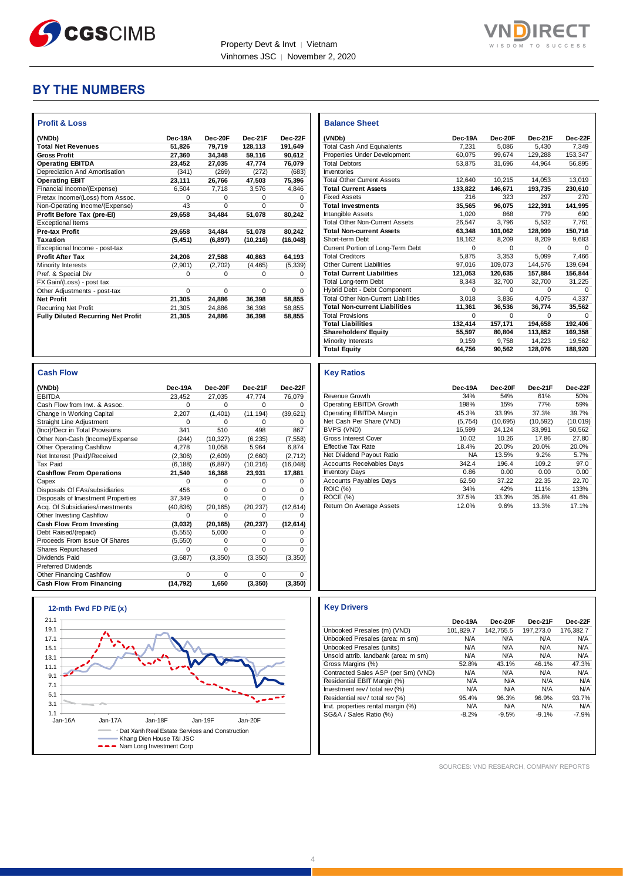



# **BY THE NUMBERS**

| <b>Profit &amp; Loss</b>                  |          |          |           |           |
|-------------------------------------------|----------|----------|-----------|-----------|
| (VNDb)                                    | Dec-19A  | Dec-20E  | Dec-21F   | Dec-22F   |
| <b>Total Net Revenues</b>                 | 51.826   | 79.719   | 128.113   | 191.649   |
| <b>Gross Profit</b>                       | 27,360   | 34,348   | 59.116    | 90.612    |
| <b>Operating EBITDA</b>                   | 23.452   | 27.035   | 47,774    | 76.079    |
| Depreciation And Amortisation             | (341)    | (269)    | (272)     | (683)     |
| <b>Operating EBIT</b>                     | 23,111   | 26,766   | 47,503    | 75,396    |
| Financial Income/(Expense)                | 6.504    | 7.718    | 3.576     | 4.846     |
| Pretax Income/(Loss) from Assoc.          | $\Omega$ | 0        | 0         | 0         |
| Non-Operating Income/(Expense)            | 43       | $\Omega$ | 0         | $\Omega$  |
| Profit Before Tax (pre-EI)                | 29.658   | 34,484   | 51,078    | 80,242    |
| <b>Exceptional Items</b>                  |          |          |           |           |
| <b>Pre-tax Profit</b>                     | 29,658   | 34,484   | 51,078    | 80,242    |
| Taxation                                  | (5, 451) | (6, 897) | (10, 216) | (16, 048) |
| Exceptional Income - post-tax             |          |          |           |           |
| <b>Profit After Tax</b>                   | 24,206   | 27,588   | 40,863    | 64,193    |
| <b>Minority Interests</b>                 | (2,901)  | (2,702)  | (4, 465)  | (5, 339)  |
| Pref. & Special Div                       | 0        | 0        | 0         | 0         |
| FX Gain/(Loss) - post tax                 |          |          |           |           |
| Other Adjustments - post-tax              | $\Omega$ | $\Omega$ | O         | $\Omega$  |
| <b>Net Profit</b>                         | 21,305   | 24,886   | 36,398    | 58,855    |
| <b>Recurring Net Profit</b>               | 21.305   | 24.886   | 36.398    | 58.855    |
| <b>Fully Diluted Recurring Net Profit</b> | 21,305   | 24,886   | 36,398    | 58.855    |

| <b>Cash Flow</b>                   |           |           |           |           |
|------------------------------------|-----------|-----------|-----------|-----------|
| (VNDb)                             | Dec-19A   | Dec-20F   | Dec-21F   | Dec-22F   |
| <b>EBITDA</b>                      | 23,452    | 27,035    | 47,774    | 76,079    |
| Cash Flow from Invt. & Assoc.      | 0         | O         | O         |           |
| Change In Working Capital          | 2,207     | (1,401)   | (11, 194) | (39, 621) |
| Straight Line Adjustment           | 0         | n         | n         |           |
| (Incr)/Decr in Total Provisions    | 341       | 510       | 498       | 867       |
| Other Non-Cash (Income)/Expense    | (244)     | (10, 327) | (6, 235)  | (7, 558)  |
| <b>Other Operating Cashflow</b>    | 4,278     | 10,058    | 5,964     | 6,874     |
| Net Interest (Paid)/Received       | (2,306)   | (2,609)   | (2,660)   | (2, 712)  |
| <b>Tax Paid</b>                    | (6, 188)  | (6, 897)  | (10, 216) | (16, 048) |
| <b>Cashflow From Operations</b>    | 21,540    | 16,368    | 23,931    | 17,881    |
| Capex                              | 0         | O         | O         |           |
| Disposals Of FAs/subsidiaries      | 456       | $\Omega$  | 0         | O         |
| Disposals of Investment Properties | 37,349    | $\Omega$  | O         |           |
| Acq. Of Subsidiaries/investments   | (40, 836) | (20, 165) | (20, 237) | (12, 614) |
| Other Investing Cashflow           | $\Omega$  | o         |           |           |
| Cash Flow From Investing           | (3,032)   | (20, 165) | (20, 237) | (12, 614) |
| Debt Raised/(repaid)               | (5, 555)  | 5,000     | O         |           |
| Proceeds From Issue Of Shares      | (5, 550)  | $\Omega$  | 0         | 0         |
| Shares Repurchased                 | $\Omega$  | $\Omega$  | O         | U         |
| Dividends Paid                     | (3,687)   | (3,350)   | (3, 350)  | (3, 350)  |
| <b>Preferred Dividends</b>         |           |           |           |           |
| Other Financing Cashflow           | 0         | 0         | 0         | 0         |

| (VNDb)                                     | Dec-19A | Dec-20F | Dec-21F  | Dec-22F |
|--------------------------------------------|---------|---------|----------|---------|
| <b>Total Cash And Equivalents</b>          | 7.231   | 5.086   | 5.430    | 7.349   |
| Properties Under Development               | 60.075  | 99,674  | 129.288  | 153.347 |
| <b>Total Debtors</b>                       | 53.875  | 31.696  | 44.964   | 56.895  |
| Inventories                                |         |         |          |         |
| <b>Total Other Current Assets</b>          | 12.640  | 10.215  | 14.053   | 13.019  |
| <b>Total Current Assets</b>                | 133,822 | 146,671 | 193,735  | 230,610 |
| <b>Fixed Assets</b>                        | 216     | 323     | 297      | 270     |
| <b>Total Investments</b>                   | 35.565  | 96.075  | 122,391  | 141,995 |
| Intangible Assets                          | 1.020   | 868     | 779      | 690     |
| <b>Total Other Non-Current Assets</b>      | 26.547  | 3.796   | 5.532    | 7.761   |
| <b>Total Non-current Assets</b>            | 63.348  | 101.062 | 128.999  | 150.716 |
| Short-term Debt                            | 18.162  | 8.209   | 8.209    | 9.683   |
| Current Portion of Long-Term Debt          | O       | O       | $\Omega$ | o       |
| <b>Total Creditors</b>                     | 5.875   | 3.353   | 5.099    | 7.466   |
| <b>Other Current Liabilities</b>           | 97.016  | 109.073 | 144.576  | 139,694 |
| <b>Total Current Liabilities</b>           | 121.053 | 120.635 | 157.884  | 156.844 |
| Total Long-term Debt                       | 8.343   | 32.700  | 32,700   | 31,225  |
| Hybrid Debt - Debt Component               | O       | O       | $\Omega$ | 0       |
| <b>Total Other Non-Current Liabilities</b> | 3.018   | 3.836   | 4.075    | 4.337   |
| <b>Total Non-current Liabilities</b>       | 11,361  | 36,536  | 36,774   | 35,562  |
| <b>Total Provisions</b>                    | 0       | 0       | $\Omega$ | o       |
| <b>Total Liabilities</b>                   | 132.414 | 157.171 | 194.658  | 192,406 |
| <b>Shareholders' Equity</b>                | 55,597  | 80.804  | 113,852  | 169,358 |
| <b>Minority Interests</b>                  | 9.159   | 9.758   | 14.223   | 19.562  |
| <b>Total Equity</b>                        | 64,756  | 90.562  | 128.076  | 188.920 |
|                                            |         |         |          |         |

#### **Key Ratios**

**Balance Sheet** 

|                                  | Dec-19A   | Dec-20F  | Dec-21F   | Dec-22F   |
|----------------------------------|-----------|----------|-----------|-----------|
| Revenue Growth                   | 34%       | 54%      | 61%       | 50%       |
| Operating EBITDA Growth          | 198%      | 15%      | 77%       | 59%       |
| Operating EBITDA Margin          | 45.3%     | 33.9%    | 37.3%     | 39.7%     |
| Net Cash Per Share (VND)         | (5.754)   | (10.695) | (10, 592) | (10, 019) |
| BVPS (VND)                       | 16.599    | 24.124   | 33.991    | 50.562    |
| Gross Interest Cover             | 10.02     | 10.26    | 17.86     | 27.80     |
| Effective Tax Rate               | 18.4%     | 20.0%    | 20.0%     | 20.0%     |
| Net Dividend Payout Ratio        | <b>NA</b> | 13.5%    | 9.2%      | 5.7%      |
| <b>Accounts Receivables Days</b> | 342.4     | 196.4    | 109.2     | 97.0      |
| <b>Inventory Days</b>            | 0.86      | 0.00     | 0.00      | 0.00      |
| <b>Accounts Payables Days</b>    | 62.50     | 37.22    | 22.35     | 22.70     |
| <b>ROIC (%)</b>                  | 34%       | 42%      | 111%      | 133%      |
| ROCE (%)                         | 37.5%     | 33.3%    | 35.8%     | 41.6%     |
| Return On Average Assets         | 12.0%     | 9.6%     | 13.3%     | 17.1%     |

#### **Key Drivers**

|                                      | Dec-19A   | Dec-20F   | Dec-21F   | Dec-22F   |
|--------------------------------------|-----------|-----------|-----------|-----------|
| Unbooked Presales (m) (VND)          | 101.829.7 | 142.755.5 | 197.273.0 | 176.382.7 |
| Unbooked Presales (area: m sm)       | N/A       | N/A       | N/A       | N/A       |
| Unbooked Presales (units)            | N/A       | N/A       | N/A       | N/A       |
| Unsold attrib. landbank (area: m sm) | N/A       | N/A       | N/A       | N/A       |
| Gross Margins (%)                    | 52.8%     | 43.1%     | 46.1%     | 47.3%     |
| Contracted Sales ASP (per Sm) (VND)  | N/A       | N/A       | N/A       | N/A       |
| Residential EBIT Margin (%)          | N/A       | N/A       | N/A       | N/A       |
| Investment rev / total rev (%)       | N/A       | N/A       | N/A       | N/A       |
| Residential rev / total rev (%)      | 95.4%     | 96.3%     | 96.9%     | 93.7%     |
| Invt. properties rental margin (%)   | N/A       | N/A       | N/A       | N/A       |
| SG&A / Sales Ratio (%)               | $-8.2%$   | $-9.5%$   | $-9.1%$   | $-7.9%$   |

SOURCES: VND RESEARCH, COMPANY REPORTS

| Cash Flow From Financing |                        |                                                                            | (14, 792)<br>1,650 | (3, 350) | (3, 350) |
|--------------------------|------------------------|----------------------------------------------------------------------------|--------------------|----------|----------|
|                          | 12-mth Fwd FD $P/E(x)$ |                                                                            |                    |          |          |
| 21.1                     |                        |                                                                            |                    |          |          |
| 19.1                     |                        |                                                                            |                    |          |          |
| 17.1                     |                        |                                                                            |                    |          |          |
| 15.1                     |                        |                                                                            |                    |          |          |
| 13.1                     |                        |                                                                            |                    |          |          |
| 11.1                     |                        |                                                                            |                    |          |          |
| 9.1                      |                        |                                                                            |                    |          |          |
| 7.1                      |                        |                                                                            |                    |          |          |
| 5.1                      |                        |                                                                            |                    |          |          |
| 3.1                      |                        |                                                                            |                    |          |          |
| 1.1<br>Jan-16A           | Jan-17A                | Jan-18F                                                                    | Jan-19F            | Jan-20F  |          |
|                          |                        | Dat Xanh Real Estate Services and Construction<br>Khang Dien House T&I JSC |                    |          |          |
|                          |                        | Nam Long Investment Corp                                                   |                    |          |          |

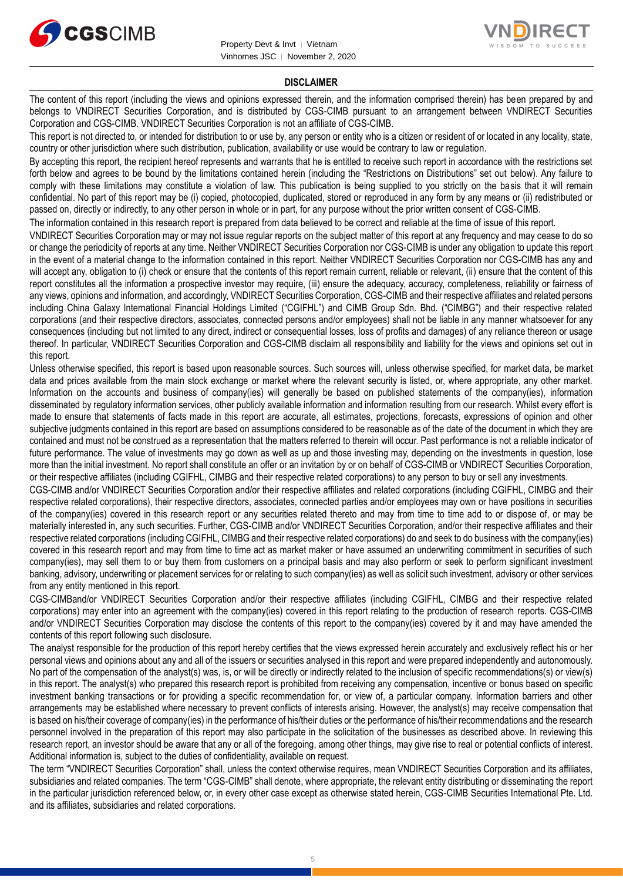



#### **DISCLAIMER**

The content of this report (including the views and opinions expressed therein, and the information comprised therein) has been prepared by and belongs to VNDIRECT Securities Corporation, and is distributed by CGS-CIMB pursuant to an arrangement between VNDIRECT Securities Corporation and CGS-CIMB. VNDIRECT Securities Corporation is not an affiliate of CGS-CIMB.

This report is not directed to, or intended for distribution to or use by, any person or entity who is a citizen or resident of or located in any locality, state, country or other jurisdiction where such distribution, publication, availability or use would be contrary to law or regulation.

By accepting this report, the recipient hereof represents and warrants that he is entitled to receive such report in accordance with the restrictions set forth below and agrees to be bound by the limitations contained herein (including the "Restrictions on Distributions" set out below). Any failure to comply with these limitations may constitute a violation of law. This publication is being supplied to you strictly on the basis that it will remain confidential. No part of this report may be (i) copied, photocopied, duplicated, stored or reproduced in any form by any means or (ii) redistributed or passed on, directly or indirectly, to any other person in whole or in part, for any purpose without the prior written consent of CGS-CIMB.

The information contained in this research report is prepared from data believed to be correct and reliable at the time of issue of this report.

VNDIRECT Securities Corporation may or may not issue regular reports on the subject matter of this report at any frequency and may cease to do so or change the periodicity of reports at any time. Neither VNDIRECT Securities Corporation nor CGS-CIMB is under any obligation to update this report in the event of a material change to the information contained in this report. Neither VNDIRECT Securities Corporation nor CGS-CIMB has any and will accept any, obligation to (i) check or ensure that the contents of this report remain current, reliable or relevant, (ii) ensure that the content of this report constitutes all the information a prospective investor may require, (iii) ensure the adequacy, accuracy, completeness, reliability or fairness of any views, opinions and information, and accordingly, VNDIRECT Securities Corporation, CGS-CIMB and their respective affiliates and related persons including China Galaxy International Financial Holdings Limited ("CGIFHL") and CIMB Group Sdn. Bhd. ("CIMBG") and their respective related corporations (and their respective directors, associates, connected persons and/or employees) shall not be liable in any manner whatsoever for any consequences (including but not limited to any direct, indirect or consequential losses, loss of profits and damages) of any reliance thereon or usage thereof. In particular, VNDIRECT Securities Corporation and CGS-CIMB disclaim all responsibility and liability for the views and opinions set out in this report.

Unless otherwise specified, this report is based upon reasonable sources. Such sources will, unless otherwise specified, for market data, be market data and prices available from the main stock exchange or market where the relevant security is listed, or, where appropriate, any other market. Information on the accounts and business of company(ies) will generally be based on published statements of the company(ies), information disseminated by regulatory information services, other publicly available information and information resulting from our research. Whilst every effort is made to ensure that statements of facts made in this report are accurate, all estimates, projections, forecasts, expressions of opinion and other subjective judgments contained in this report are based on assumptions considered to be reasonable as of the date of the document in which they are contained and must not be construed as a representation that the matters referred to therein will occur. Past performance is not a reliable indicator of future performance. The value of investments may go down as well as up and those investing may, depending on the investments in question, lose more than the initial investment. No report shall constitute an offer or an invitation by or on behalf of CGS-CIMB or VNDIRECT Securities Corporation, or their respective affiliates (including CGIFHL, CIMBG and their respective related corporations) to any person to buy or sell any investments.

CGS-CIMB and/or VNDIRECT Securities Corporation and/or their respective affiliates and related corporations (including CGIFHL, CIMBG and their respective related corporations), their respective directors, associates, connected parties and/or employees may own or have positions in securities of the company(ies) covered in this research report or any securities related thereto and may from time to time add to or dispose of, or may be materially interested in, any such securities. Further, CGS-CIMB and/or VNDIRECT Securities Corporation, and/or their respective affiliates and their respective related corporations (including CGIFHL, CIMBG and their respective related corporations) do and seek to do business with the company(ies) covered in this research report and may from time to time act as market maker or have assumed an underwriting commitment in securities of such company(ies), may sell them to or buy them from customers on a principal basis and may also perform or seek to perform significant investment banking, advisory, underwriting or placement services for or relating to such company(ies) as well as solicit such investment, advisory or other services from any entity mentioned in this report.

CGS-CIMBand/or VNDIRECT Securities Corporation and/or their respective affiliates (including CGIFHL, CIMBG and their respective related corporations) may enter into an agreement with the company(ies) covered in this report relating to the production of research reports. CGS-CIMB and/or VNDIRECT Securities Corporation may disclose the contents of this report to the company(ies) covered by it and may have amended the contents of this report following such disclosure.

The analyst responsible for the production of this report hereby certifies that the views expressed herein accurately and exclusively reflect his or her personal views and opinions about any and all of the issuers or securities analysed in this report and were prepared independently and autonomously. No part of the compensation of the analyst(s) was, is, or will be directly or indirectly related to the inclusion of specific recommendations(s) or view(s) in this report. The analyst(s) who prepared this research report is prohibited from receiving any compensation, incentive or bonus based on specific investment banking transactions or for providing a specific recommendation for, or view of, a particular company. Information barriers and other arrangements may be established where necessary to prevent conflicts of interests arising. However, the analyst(s) may receive compensation that is based on his/their coverage of company(ies) in the performance of his/their duties or the performance of his/their recommendations and the research personnel involved in the preparation of this report may also participate in the solicitation of the businesses as described above. In reviewing this research report, an investor should be aware that any or all of the foregoing, among other things, may give rise to real or potential conflicts of interest. Additional information is, subject to the duties of confidentiality, available on request.

The term "VNDIRECT Securities Corporation" shall, unless the context otherwise requires, mean VNDIRECT Securities Corporation and its affiliates, subsidiaries and related companies. The term "CGS-CIMB" shall denote, where appropriate, the relevant entity distributing or disseminating the report in the particular jurisdiction referenced below, or, in every other case except as otherwise stated herein, CGS-CIMB Securities International Pte. Ltd. and its affiliates, subsidiaries and related corporations.

5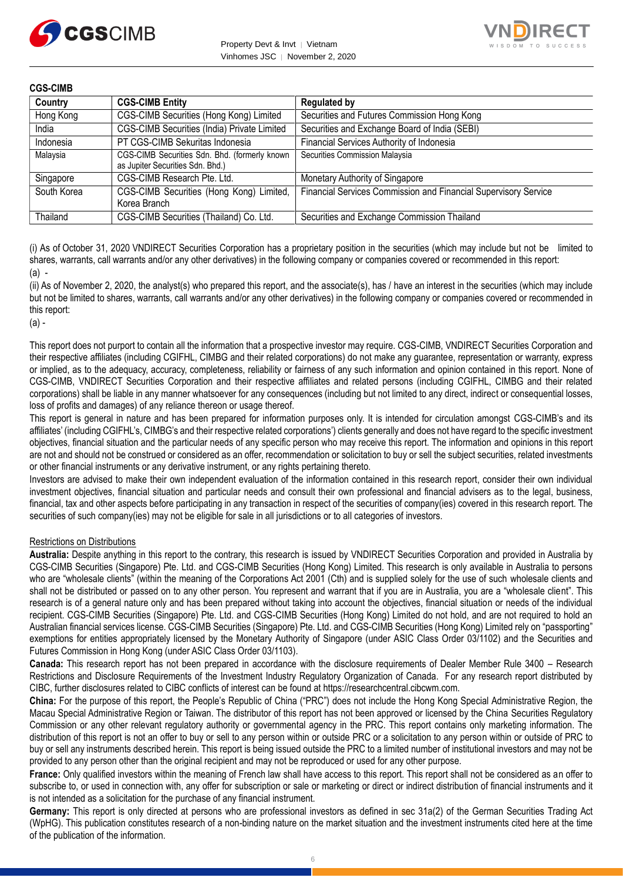



#### **CGS-CIMB**

| Country     | <b>CGS-CIMB Entity</b>                                                            | <b>Regulated by</b>                                             |
|-------------|-----------------------------------------------------------------------------------|-----------------------------------------------------------------|
| Hong Kong   | CGS-CIMB Securities (Hong Kong) Limited                                           | Securities and Futures Commission Hong Kong                     |
| India       | CGS-CIMB Securities (India) Private Limited                                       | Securities and Exchange Board of India (SEBI)                   |
| Indonesia   | PT CGS-CIMB Sekuritas Indonesia                                                   | Financial Services Authority of Indonesia                       |
| Malaysia    | CGS-CIMB Securities Sdn. Bhd. (formerly known<br>as Jupiter Securities Sdn. Bhd.) | Securities Commission Malaysia                                  |
| Singapore   | CGS-CIMB Research Pte. Ltd.                                                       | Monetary Authority of Singapore                                 |
| South Korea | CGS-CIMB Securities (Hong Kong) Limited,<br>Korea Branch                          | Financial Services Commission and Financial Supervisory Service |
| Thailand    | CGS-CIMB Securities (Thailand) Co. Ltd.                                           | Securities and Exchange Commission Thailand                     |

(i) As of October 31, 2020 VNDIRECT Securities Corporation has a proprietary position in the securities (which may include but not be limited to shares, warrants, call warrants and/or any other derivatives) in the following company or companies covered or recommended in this report:  $(a)$  -

(ii) As of November 2, 2020, the analyst(s) who prepared this report, and the associate(s), has / have an interest in the securities (which may include but not be limited to shares, warrants, call warrants and/or any other derivatives) in the following company or companies covered or recommended in this report:

(a) -

This report does not purport to contain all the information that a prospective investor may require. CGS-CIMB, VNDIRECT Securities Corporation and their respective affiliates (including CGIFHL, CIMBG and their related corporations) do not make any guarantee, representation or warranty, express or implied, as to the adequacy, accuracy, completeness, reliability or fairness of any such information and opinion contained in this report. None of CGS-CIMB, VNDIRECT Securities Corporation and their respective affiliates and related persons (including CGIFHL, CIMBG and their related corporations) shall be liable in any manner whatsoever for any consequences (including but not limited to any direct, indirect or consequential losses, loss of profits and damages) of any reliance thereon or usage thereof.

This report is general in nature and has been prepared for information purposes only. It is intended for circulation amongst CGS-CIMB's and its affiliates' (including CGIFHL's, CIMBG's and their respective related corporations') clients generally and does not have regard to the specific investment objectives, financial situation and the particular needs of any specific person who may receive this report. The information and opinions in this report are not and should not be construed or considered as an offer, recommendation or solicitation to buy or sell the subject securities, related investments or other financial instruments or any derivative instrument, or any rights pertaining thereto.

Investors are advised to make their own independent evaluation of the information contained in this research report, consider their own individual investment objectives, financial situation and particular needs and consult their own professional and financial advisers as to the legal, business, financial, tax and other aspects before participating in any transaction in respect of the securities of company(ies) covered in this research report. The securities of such company(ies) may not be eligible for sale in all jurisdictions or to all categories of investors.

#### Restrictions on Distributions

**Australia:** Despite anything in this report to the contrary, this research is issued by VNDIRECT Securities Corporation and provided in Australia by CGS-CIMB Securities (Singapore) Pte. Ltd. and CGS-CIMB Securities (Hong Kong) Limited. This research is only available in Australia to persons who are "wholesale clients" (within the meaning of the Corporations Act 2001 (Cth) and is supplied solely for the use of such wholesale clients and shall not be distributed or passed on to any other person. You represent and warrant that if you are in Australia, you are a "wholesale client". This research is of a general nature only and has been prepared without taking into account the objectives, financial situation or needs of the individual recipient. CGS-CIMB Securities (Singapore) Pte. Ltd. and CGS-CIMB Securities (Hong Kong) Limited do not hold, and are not required to hold an Australian financial services license. CGS-CIMB Securities (Singapore) Pte. Ltd. and CGS-CIMB Securities (Hong Kong) Limited rely on "passporting" exemptions for entities appropriately licensed by the Monetary Authority of Singapore (under ASIC Class Order 03/1102) and the Securities and Futures Commission in Hong Kong (under ASIC Class Order 03/1103).

**Canada:** This research report has not been prepared in accordance with the disclosure requirements of Dealer Member Rule 3400 – Research Restrictions and Disclosure Requirements of the Investment Industry Regulatory Organization of Canada. For any research report distributed by CIBC, further disclosures related to CIBC conflicts of interest can be found at https://researchcentral.cibcwm.com.

**China:** For the purpose of this report, the People's Republic of China ("PRC") does not include the Hong Kong Special Administrative Region, the Macau Special Administrative Region or Taiwan. The distributor of this report has not been approved or licensed by the China Securities Regulatory Commission or any other relevant regulatory authority or governmental agency in the PRC. This report contains only marketing information. The distribution of this report is not an offer to buy or sell to any person within or outside PRC or a solicitation to any person within or outside of PRC to buy or sell any instruments described herein. This report is being issued outside the PRC to a limited number of institutional investors and may not be provided to any person other than the original recipient and may not be reproduced or used for any other purpose.

**France:** Only qualified investors within the meaning of French law shall have access to this report. This report shall not be considered as an offer to subscribe to, or used in connection with, any offer for subscription or sale or marketing or direct or indirect distribution of financial instruments and it is not intended as a solicitation for the purchase of any financial instrument.

**Germany:** This report is only directed at persons who are professional investors as defined in sec 31a(2) of the German Securities Trading Act (WpHG). This publication constitutes research of a non-binding nature on the market situation and the investment instruments cited here at the time of the publication of the information.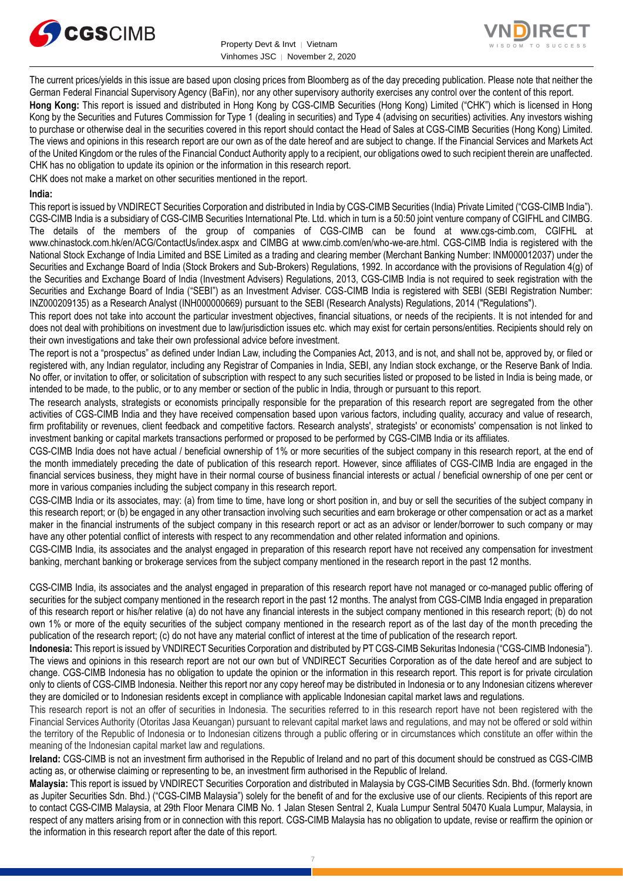



The current prices/yields in this issue are based upon closing prices from Bloomberg as of the day preceding publication. Please note that neither the German Federal Financial Supervisory Agency (BaFin), nor any other supervisory authority exercises any control over the content of this report.

**Hong Kong:** This report is issued and distributed in Hong Kong by CGS-CIMB Securities (Hong Kong) Limited ("CHK") which is licensed in Hong Kong by the Securities and Futures Commission for Type 1 (dealing in securities) and Type 4 (advising on securities) activities. Any investors wishing to purchase or otherwise deal in the securities covered in this report should contact the Head of Sales at CGS-CIMB Securities (Hong Kong) Limited. The views and opinions in this research report are our own as of the date hereof and are subject to change. If the Financial Services and Markets Act of the United Kingdom or the rules of the Financial Conduct Authority apply to a recipient, our obligations owed to such recipient therein are unaffected. CHK has no obligation to update its opinion or the information in this research report.

CHK does not make a market on other securities mentioned in the report.

#### **India:**

This report is issued by VNDIRECT Securities Corporation and distributed in India by CGS-CIMB Securities (India) Private Limited ("CGS-CIMB India"). CGS-CIMB India is a subsidiary of CGS-CIMB Securities International Pte. Ltd. which in turn is a 50:50 joint venture company of CGIFHL and CIMBG. The details of the members of the group of companies of CGS-CIMB can be found at www.cgs-cimb.com, CGIFHL at www.chinastock.com.hk/en/ACG/ContactUs/index.aspx and CIMBG at www.cimb.com/en/who-we-are.html. CGS-CIMB India is registered with the National Stock Exchange of India Limited and BSE Limited as a trading and clearing member (Merchant Banking Number: INM000012037) under the Securities and Exchange Board of India (Stock Brokers and Sub-Brokers) Regulations, 1992. In accordance with the provisions of Regulation 4(g) of the Securities and Exchange Board of India (Investment Advisers) Regulations, 2013, CGS-CIMB India is not required to seek registration with the Securities and Exchange Board of India ("SEBI") as an Investment Adviser. CGS-CIMB India is registered with SEBI (SEBI Registration Number: INZ000209135) as a Research Analyst (INH000000669) pursuant to the SEBI (Research Analysts) Regulations, 2014 ("Regulations").

This report does not take into account the particular investment objectives, financial situations, or needs of the recipients. It is not intended for and does not deal with prohibitions on investment due to law/jurisdiction issues etc. which may exist for certain persons/entities. Recipients should rely on their own investigations and take their own professional advice before investment.

The report is not a "prospectus" as defined under Indian Law, including the Companies Act, 2013, and is not, and shall not be, approved by, or filed or registered with, any Indian regulator, including any Registrar of Companies in India, SEBI, any Indian stock exchange, or the Reserve Bank of India. No offer, or invitation to offer, or solicitation of subscription with respect to any such securities listed or proposed to be listed in India is being made, or intended to be made, to the public, or to any member or section of the public in India, through or pursuant to this report.

The research analysts, strategists or economists principally responsible for the preparation of this research report are segregated from the other activities of CGS-CIMB India and they have received compensation based upon various factors, including quality, accuracy and value of research, firm profitability or revenues, client feedback and competitive factors. Research analysts', strategists' or economists' compensation is not linked to investment banking or capital markets transactions performed or proposed to be performed by CGS-CIMB India or its affiliates.

CGS-CIMB India does not have actual / beneficial ownership of 1% or more securities of the subject company in this research report, at the end of the month immediately preceding the date of publication of this research report. However, since affiliates of CGS-CIMB India are engaged in the financial services business, they might have in their normal course of business financial interests or actual / beneficial ownership of one per cent or more in various companies including the subject company in this research report.

CGS-CIMB India or its associates, may: (a) from time to time, have long or short position in, and buy or sell the securities of the subject company in this research report; or (b) be engaged in any other transaction involving such securities and earn brokerage or other compensation or act as a market maker in the financial instruments of the subject company in this research report or act as an advisor or lender/borrower to such company or may have any other potential conflict of interests with respect to any recommendation and other related information and opinions.

CGS-CIMB India, its associates and the analyst engaged in preparation of this research report have not received any compensation for investment banking, merchant banking or brokerage services from the subject company mentioned in the research report in the past 12 months.

CGS-CIMB India, its associates and the analyst engaged in preparation of this research report have not managed or co-managed public offering of securities for the subject company mentioned in the research report in the past 12 months. The analyst from CGS-CIMB India engaged in preparation of this research report or his/her relative (a) do not have any financial interests in the subject company mentioned in this research report; (b) do not own 1% or more of the equity securities of the subject company mentioned in the research report as of the last day of the month preceding the publication of the research report; (c) do not have any material conflict of interest at the time of publication of the research report.

**Indonesia:** This report is issued by VNDIRECT Securities Corporation and distributed by PT CGS-CIMB Sekuritas Indonesia ("CGS-CIMB Indonesia"). The views and opinions in this research report are not our own but of VNDIRECT Securities Corporation as of the date hereof and are subject to change. CGS-CIMB Indonesia has no obligation to update the opinion or the information in this research report. This report is for private circulation only to clients of CGS-CIMB Indonesia. Neither this report nor any copy hereof may be distributed in Indonesia or to any Indonesian citizens wherever they are domiciled or to Indonesian residents except in compliance with applicable Indonesian capital market laws and regulations.

This research report is not an offer of securities in Indonesia. The securities referred to in this research report have not been registered with the Financial Services Authority (Otoritas Jasa Keuangan) pursuant to relevant capital market laws and regulations, and may not be offered or sold within the territory of the Republic of Indonesia or to Indonesian citizens through a public offering or in circumstances which constitute an offer within the meaning of the Indonesian capital market law and regulations.

**Ireland:** CGS-CIMB is not an investment firm authorised in the Republic of Ireland and no part of this document should be construed as CGS-CIMB acting as, or otherwise claiming or representing to be, an investment firm authorised in the Republic of Ireland.

**Malaysia:** This report is issued by VNDIRECT Securities Corporation and distributed in Malaysia by CGS-CIMB Securities Sdn. Bhd. (formerly known as Jupiter Securities Sdn. Bhd.) ("CGS-CIMB Malaysia") solely for the benefit of and for the exclusive use of our clients. Recipients of this report are to contact CGS-CIMB Malaysia, at 29th Floor Menara CIMB No. 1 Jalan Stesen Sentral 2, Kuala Lumpur Sentral 50470 Kuala Lumpur, Malaysia, in respect of any matters arising from or in connection with this report. CGS-CIMB Malaysia has no obligation to update, revise or reaffirm the opinion or the information in this research report after the date of this report.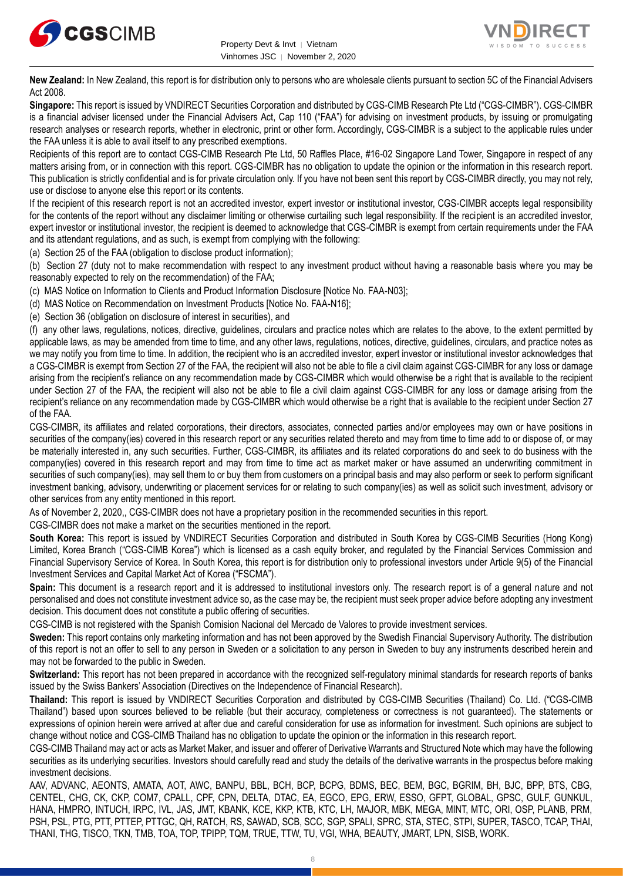



**New Zealand:** In New Zealand, this report is for distribution only to persons who are wholesale clients pursuant to section 5C of the Financial Advisers Act 2008.

**Singapore:** This report is issued by VNDIRECT Securities Corporation and distributed by CGS-CIMB Research Pte Ltd ("CGS-CIMBR"). CGS-CIMBR is a financial adviser licensed under the Financial Advisers Act, Cap 110 ("FAA") for advising on investment products, by issuing or promulgating research analyses or research reports, whether in electronic, print or other form. Accordingly, CGS-CIMBR is a subject to the applicable rules under the FAA unless it is able to avail itself to any prescribed exemptions.

Recipients of this report are to contact CGS-CIMB Research Pte Ltd, 50 Raffles Place, #16-02 Singapore Land Tower, Singapore in respect of any matters arising from, or in connection with this report. CGS-CIMBR has no obligation to update the opinion or the information in this research report. This publication is strictly confidential and is for private circulation only. If you have not been sent this report by CGS-CIMBR directly, you may not rely, use or disclose to anyone else this report or its contents.

If the recipient of this research report is not an accredited investor, expert investor or institutional investor, CGS-CIMBR accepts legal responsibility for the contents of the report without any disclaimer limiting or otherwise curtailing such legal responsibility. If the recipient is an accredited investor, expert investor or institutional investor, the recipient is deemed to acknowledge that CGS-CIMBR is exempt from certain requirements under the FAA and its attendant regulations, and as such, is exempt from complying with the following:

(a) Section 25 of the FAA (obligation to disclose product information);

(b) Section 27 (duty not to make recommendation with respect to any investment product without having a reasonable basis where you may be reasonably expected to rely on the recommendation) of the FAA;

(c) MAS Notice on Information to Clients and Product Information Disclosure [Notice No. FAA-N03];

(d) MAS Notice on Recommendation on Investment Products [Notice No. FAA-N16];

(e) Section 36 (obligation on disclosure of interest in securities), and

(f) any other laws, regulations, notices, directive, guidelines, circulars and practice notes which are relates to the above, to the extent permitted by applicable laws, as may be amended from time to time, and any other laws, regulations, notices, directive, guidelines, circulars, and practice notes as we may notify you from time to time. In addition, the recipient who is an accredited investor, expert investor or institutional investor acknowledges that a CGS-CIMBR is exempt from Section 27 of the FAA, the recipient will also not be able to file a civil claim against CGS-CIMBR for any loss or damage arising from the recipient's reliance on any recommendation made by CGS-CIMBR which would otherwise be a right that is available to the recipient under Section 27 of the FAA, the recipient will also not be able to file a civil claim against CGS-CIMBR for any loss or damage arising from the recipient's reliance on any recommendation made by CGS-CIMBR which would otherwise be a right that is available to the recipient under Section 27 of the FAA.

CGS-CIMBR, its affiliates and related corporations, their directors, associates, connected parties and/or employees may own or have positions in securities of the company(ies) covered in this research report or any securities related thereto and may from time to time add to or dispose of, or may be materially interested in, any such securities. Further, CGS-CIMBR, its affiliates and its related corporations do and seek to do business with the company(ies) covered in this research report and may from time to time act as market maker or have assumed an underwriting commitment in securities of such company(ies), may sell them to or buy them from customers on a principal basis and may also perform or seek to perform significant investment banking, advisory, underwriting or placement services for or relating to such company(ies) as well as solicit such investment, advisory or other services from any entity mentioned in this report.

As of November 2, 2020,, CGS-CIMBR does not have a proprietary position in the recommended securities in this report.

CGS-CIMBR does not make a market on the securities mentioned in the report.

**South Korea:** This report is issued by VNDIRECT Securities Corporation and distributed in South Korea by CGS-CIMB Securities (Hong Kong) Limited, Korea Branch ("CGS-CIMB Korea") which is licensed as a cash equity broker, and regulated by the Financial Services Commission and Financial Supervisory Service of Korea. In South Korea, this report is for distribution only to professional investors under Article 9(5) of the Financial Investment Services and Capital Market Act of Korea ("FSCMA").

**Spain:** This document is a research report and it is addressed to institutional investors only. The research report is of a general nature and not personalised and does not constitute investment advice so, as the case may be, the recipient must seek proper advice before adopting any investment decision. This document does not constitute a public offering of securities.

CGS-CIMB is not registered with the Spanish Comision Nacional del Mercado de Valores to provide investment services.

**Sweden:** This report contains only marketing information and has not been approved by the Swedish Financial Supervisory Authority. The distribution of this report is not an offer to sell to any person in Sweden or a solicitation to any person in Sweden to buy any instruments described herein and may not be forwarded to the public in Sweden.

Switzerland: This report has not been prepared in accordance with the recognized self-regulatory minimal standards for research reports of banks issued by the Swiss Bankers' Association (Directives on the Independence of Financial Research).

**Thailand:** This report is issued by VNDIRECT Securities Corporation and distributed by CGS-CIMB Securities (Thailand) Co. Ltd. ("CGS-CIMB Thailand") based upon sources believed to be reliable (but their accuracy, completeness or correctness is not guaranteed). The statements or expressions of opinion herein were arrived at after due and careful consideration for use as information for investment. Such opinions are subject to change without notice and CGS-CIMB Thailand has no obligation to update the opinion or the information in this research report.

CGS-CIMB Thailand may act or acts as Market Maker, and issuer and offerer of Derivative Warrants and Structured Note which may have the following securities as its underlying securities. Investors should carefully read and study the details of the derivative warrants in the prospectus before making investment decisions.

AAV, ADVANC, AEONTS, AMATA, AOT, AWC, BANPU, BBL, BCH, BCP, BCPG, BDMS, BEC, BEM, BGC, BGRIM, BH, BJC, BPP, BTS, CBG, CENTEL, CHG, CK, CKP, COM7, CPALL, CPF, CPN, DELTA, DTAC, EA, EGCO, EPG, ERW, ESSO, GFPT, GLOBAL, GPSC, GULF, GUNKUL, HANA, HMPRO, INTUCH, IRPC, IVL, JAS, JMT, KBANK, KCE, KKP, KTB, KTC, LH, MAJOR, MBK, MEGA, MINT, MTC, ORI, OSP, PLANB, PRM, PSH, PSL, PTG, PTT, PTTEP, PTTGC, QH, RATCH, RS, SAWAD, SCB, SCC, SGP, SPALI, SPRC, STA, STEC, STPI, SUPER, TASCO, TCAP, THAI, THANI, THG, TISCO, TKN, TMB, TOA, TOP, TPIPP, TQM, TRUE, TTW, TU, VGI, WHA, BEAUTY, JMART, LPN, SISB, WORK.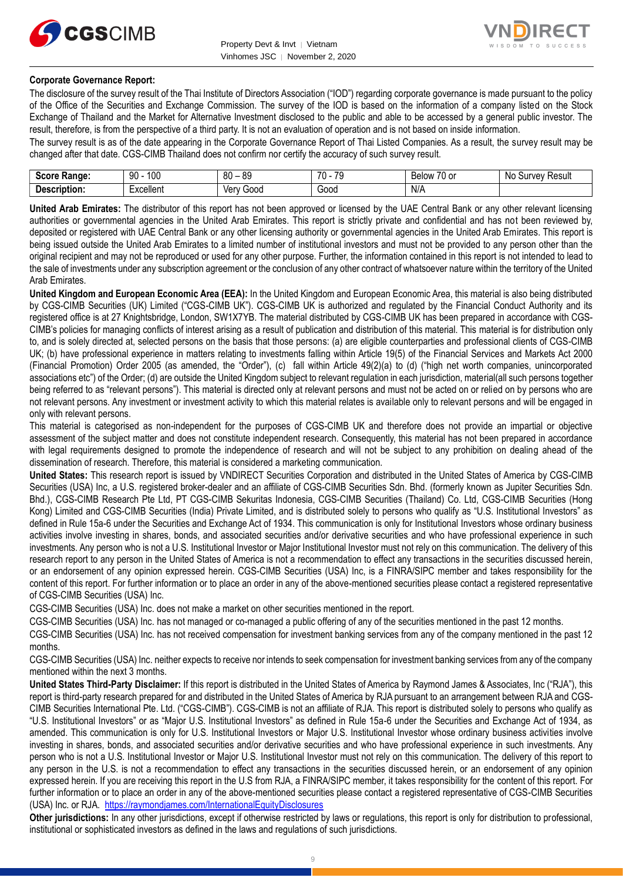



#### **Corporate Governance Report:**

The disclosure of the survey result of the Thai Institute of Directors Association ("IOD") regarding corporate governance is made pursuant to the policy of the Office of the Securities and Exchange Commission. The survey of the IOD is based on the information of a company listed on the Stock Exchange of Thailand and the Market for Alternative Investment disclosed to the public and able to be accessed by a general public investor. The result, therefore, is from the perspective of a third party. It is not an evaluation of operation and is not based on inside information.

The survey result is as of the date appearing in the Corporate Governance Report of Thai Listed Companies. As a result, the survey result may be changed after that date. CGS-CIMB Thailand does not confirm nor certify the accuracy of such survey result.

| <b>Score</b><br>Range: | 100<br>90<br>טע | RΛ<br>or<br>೦೮<br>υv | 70<br>$\overline{\phantom{a}}$<br>- 11<br>ີ | $\overline{\phantom{a}}$<br>-<br><b>Below</b><br>$\sim$<br>י טי | N0<br>Result<br><b>Jurvey</b> |
|------------------------|-----------------|----------------------|---------------------------------------------|-----------------------------------------------------------------|-------------------------------|
| -                      | -               | 000خ                 | -                                           | N/A                                                             |                               |
| Description:           | Excellent       | Verv                 | Good                                        |                                                                 |                               |

**United Arab Emirates:** The distributor of this report has not been approved or licensed by the UAE Central Bank or any other relevant licensing authorities or governmental agencies in the United Arab Emirates. This report is strictly private and confidential and has not been reviewed by, deposited or registered with UAE Central Bank or any other licensing authority or governmental agencies in the United Arab Emirates. This report is being issued outside the United Arab Emirates to a limited number of institutional investors and must not be provided to any person other than the original recipient and may not be reproduced or used for any other purpose. Further, the information contained in this report is not intended to lead to the sale of investments under any subscription agreement or the conclusion of any other contract of whatsoever nature within the territory of the United Arab Emirates.

**United Kingdom and European Economic Area (EEA):** In the United Kingdom and European Economic Area, this material is also being distributed by CGS-CIMB Securities (UK) Limited ("CGS-CIMB UK"). CGS-CIMB UK is authorized and regulated by the Financial Conduct Authority and its registered office is at 27 Knightsbridge, London, SW1X7YB. The material distributed by CGS-CIMB UK has been prepared in accordance with CGS-CIMB's policies for managing conflicts of interest arising as a result of publication and distribution of this material. This material is for distribution only to, and is solely directed at, selected persons on the basis that those persons: (a) are eligible counterparties and professional clients of CGS-CIMB UK; (b) have professional experience in matters relating to investments falling within Article 19(5) of the Financial Services and Markets Act 2000 (Financial Promotion) Order 2005 (as amended, the "Order"), (c) fall within Article 49(2)(a) to (d) ("high net worth companies, unincorporated associations etc") of the Order; (d) are outside the United Kingdom subject to relevant regulation in each jurisdiction, material(all such persons together being referred to as "relevant persons"). This material is directed only at relevant persons and must not be acted on or relied on by persons who are not relevant persons. Any investment or investment activity to which this material relates is available only to relevant persons and will be engaged in only with relevant persons.

This material is categorised as non-independent for the purposes of CGS-CIMB UK and therefore does not provide an impartial or objective assessment of the subject matter and does not constitute independent research. Consequently, this material has not been prepared in accordance with legal requirements designed to promote the independence of research and will not be subject to any prohibition on dealing ahead of the dissemination of research. Therefore, this material is considered a marketing communication.

**United States:** This research report is issued by VNDIRECT Securities Corporation and distributed in the United States of America by CGS-CIMB Securities (USA) Inc, a U.S. registered broker-dealer and an affiliate of CGS-CIMB Securities Sdn. Bhd. (formerly known as Jupiter Securities Sdn. Bhd.), CGS-CIMB Research Pte Ltd, PT CGS-CIMB Sekuritas Indonesia, CGS-CIMB Securities (Thailand) Co. Ltd, CGS-CIMB Securities (Hong Kong) Limited and CGS-CIMB Securities (India) Private Limited, and is distributed solely to persons who qualify as "U.S. Institutional Investors" as defined in Rule 15a-6 under the Securities and Exchange Act of 1934. This communication is only for Institutional Investors whose ordinary business activities involve investing in shares, bonds, and associated securities and/or derivative securities and who have professional experience in such investments. Any person who is not a U.S. Institutional Investor or Major Institutional Investor must not rely on this communication. The delivery of this research report to any person in the United States of America is not a recommendation to effect any transactions in the securities discussed herein, or an endorsement of any opinion expressed herein. CGS-CIMB Securities (USA) Inc, is a FINRA/SIPC member and takes responsibility for the content of this report. For further information or to place an order in any of the above-mentioned securities please contact a registered representative of CGS-CIMB Securities (USA) Inc.

CGS-CIMB Securities (USA) Inc. does not make a market on other securities mentioned in the report.

CGS-CIMB Securities (USA) Inc. has not managed or co-managed a public offering of any of the securities mentioned in the past 12 months.

CGS-CIMB Securities (USA) Inc. has not received compensation for investment banking services from any of the company mentioned in the past 12 months.

CGS-CIMB Securities (USA) Inc. neither expects to receive nor intends to seek compensation for investment banking services from any of the company mentioned within the next 3 months.

**United States Third-Party Disclaimer:** If this report is distributed in the United States of America by Raymond James & Associates, Inc ("RJA"), this report is third-party research prepared for and distributed in the United States of America by RJA pursuant to an arrangement between RJA and CGS-CIMB Securities International Pte. Ltd. ("CGS-CIMB"). CGS-CIMB is not an affiliate of RJA. This report is distributed solely to persons who qualify as "U.S. Institutional Investors" or as "Major U.S. Institutional Investors" as defined in Rule 15a-6 under the Securities and Exchange Act of 1934, as amended. This communication is only for U.S. Institutional Investors or Major U.S. Institutional Investor whose ordinary business activities involve investing in shares, bonds, and associated securities and/or derivative securities and who have professional experience in such investments. Any person who is not a U.S. Institutional Investor or Major U.S. Institutional Investor must not rely on this communication. The delivery of this report to any person in the U.S. is not a recommendation to effect any transactions in the securities discussed herein, or an endorsement of any opinion expressed herein. If you are receiving this report in the U.S from RJA, a FINRA/SIPC member, it takes responsibility for the content of this report. For further information or to place an order in any of the above-mentioned securities please contact a registered representative of CGS-CIMB Securities (USA) Inc. or RJA. <https://raymondjames.com/InternationalEquityDisclosures>

**Other jurisdictions:** In any other jurisdictions, except if otherwise restricted by laws or regulations, this report is only for distribution to professional, institutional or sophisticated investors as defined in the laws and regulations of such jurisdictions.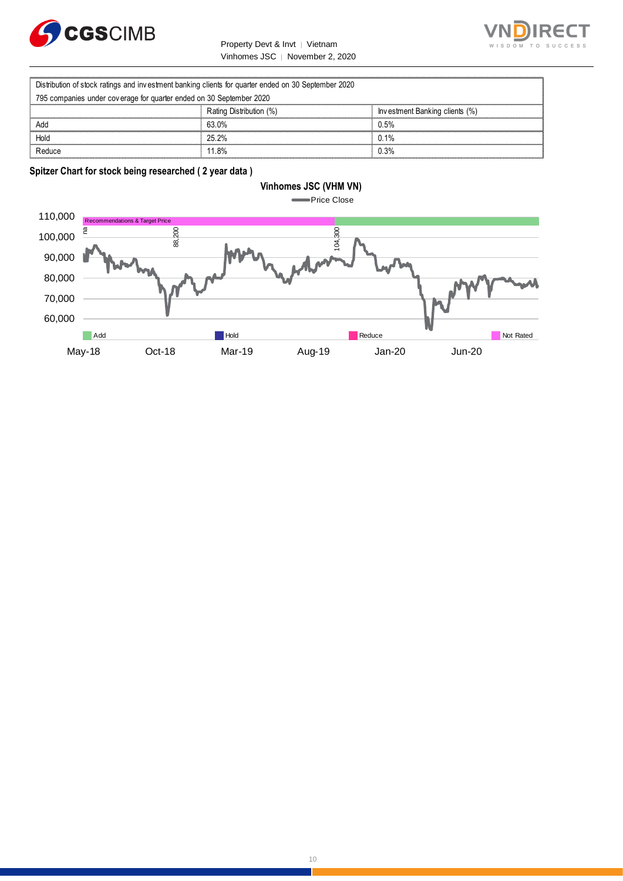

Property Devt & Invt │ Vietnam Vinhomes JSC │ November 2, 2020



|                                                                                                     | Property Devt & Invt   Vietnam  | WISDOM TO                      |
|-----------------------------------------------------------------------------------------------------|---------------------------------|--------------------------------|
|                                                                                                     | Vinhomes JSC   November 2, 2020 |                                |
|                                                                                                     |                                 |                                |
| Distribution of stock ratings and investment banking clients for quarter ended on 30 September 2020 |                                 |                                |
| 795 companies under coverage for quarter ended on 30 September 2020                                 |                                 |                                |
|                                                                                                     | Rating Distribution (%)         | Investment Banking clients (%) |
| Add                                                                                                 | 63.0%                           | 0.5%                           |
| Hold                                                                                                | 25.2%                           | 0.1%                           |
| Reduce                                                                                              | 11 8%                           | 0.3%                           |

**Spitzer Chart for stock being researched ( 2 year data )** 

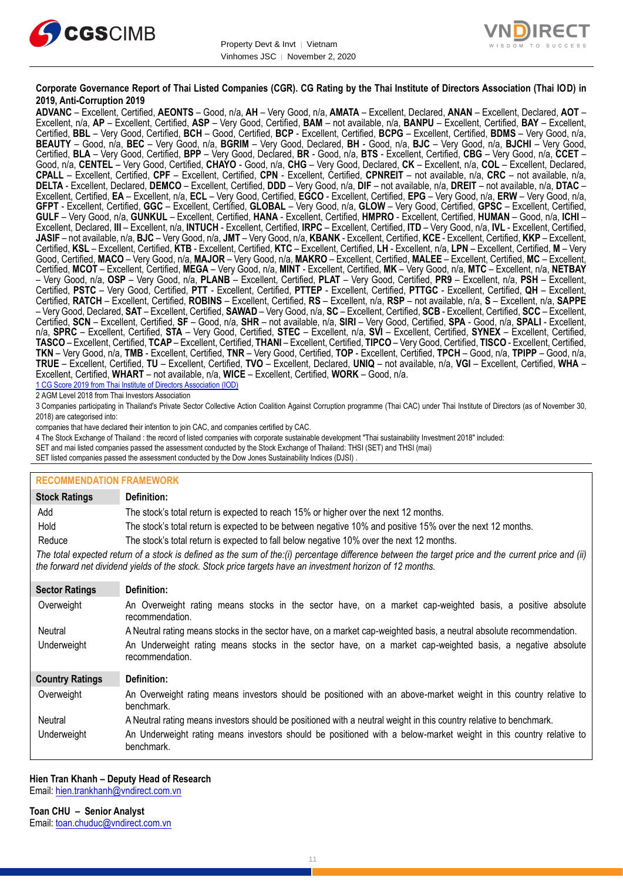



#### **Corporate Governance Report of Thai Listed Companies (CGR). CG Rating by the Thai Institute of Directors Association (Thai IOD) in 2019, Anti-Corruption 2019**

**ADVANC** – Excellent, Certified, **AEONTS** – Good, n/a, **AH** – Very Good, n/a, **AMATA** – Excellent, Declared, **ANAN** – Excellent, Declared, **AOT** – Excellent, n/a, **AP** – Excellent, Certified, **ASP** – Very Good, Certified, **BAM** – not available, n/a, **BANPU** – Excellent, Certified, **BAY** – Excellent, Certified, **BBL** – Very Good, Certified, **BCH** – Good, Certified, **BCP** - Excellent, Certified, **BCPG** – Excellent, Certified, **BDMS** – Very Good, n/a, **BEAUTY** – Good, n/a, **BEC** – Very Good, n/a, **BGRIM** – Very Good, Declared, **BH** - Good, n/a, **BJC** – Very Good, n/a, **BJCHI** – Very Good, Certified, **BLA** – Very Good, Certified, **BPP** – Very Good, Declared, **BR** - Good, n/a, **BTS** - Excellent, Certified, **CBG** – Very Good, n/a, **CCET** – Good, n/a, **CENTEL** – Very Good, Certified, **CHAYO** - Good, n/a, **CHG** – Very Good, Declared, **CK** – Excellent, n/a, **COL** – Excellent, Declared, **CPALL** – Excellent, Certified, **CPF** – Excellent, Certified, **CPN** - Excellent, Certified, **CPNREIT** – not available, n/a, **CRC** – not available, n/a, **DELTA** - Excellent, Declared, **DEMCO** – Excellent, Certified, **DDD** – Very Good, n/a, **DIF** – not available, n/a, **DREIT** – not available, n/a, **DTAC** – Excellent, Certified, **EA** – Excellent, n/a, **ECL** – Very Good, Certified, **EGCO** - Excellent, Certified, **EPG** – Very Good, n/a, **ERW** – Very Good, n/a, **GFPT** - Excellent, Certified, **GGC** – Excellent, Certified, **GLOBAL** – Very Good, n/a, **GLOW** – Very Good, Certified, **GPSC** – Excellent, Certified, **GULF** – Very Good, n/a, **GUNKUL** – Excellent, Certified, **HANA** - Excellent, Certified, **HMPRO** - Excellent, Certified, **HUMAN** – Good, n/a, **ICHI** – Excellent, Declared, **III** – Excellent, n/a, **INTUCH** - Excellent, Certified, **IRPC** – Excellent, Certified, **ITD** – Very Good, n/a, **IVL** - Excellent, Certified, **JASIF** – not available, n/a, **BJC** – Very Good, n/a, **JMT** – Very Good, n/a, **KBANK** - Excellent, Certified, **KCE** - Excellent, Certified, **KKP** – Excellent, Certified, **KSL** – Excellent, Certified, **KTB** - Excellent, Certified, **KTC** – Excellent, Certified, **LH** - Excellent, n/a, **LPN** – Excellent, Certified, **M** – Very Good, Certified, **MACO** – Very Good, n/a, **MAJOR** – Very Good, n/a, **MAKRO** – Excellent, Certified, **MALEE** – Excellent, Certified, **MC** – Excellent, Certified, **MCOT** – Excellent, Certified, **MEGA** – Very Good, n/a, **MINT** - Excellent, Certified, **MK** – Very Good, n/a, **MTC** – Excellent, n/a, **NETBAY** – Very Good, n/a, **OSP** – Very Good, n/a, **PLANB** – Excellent, Certified, **PLAT** – Very Good, Certified, **PR9** – Excellent, n/a, **PSH** – Excellent, Certified, **PSTC** – Very Good, Certified, **PTT** - Excellent, Certified, **PTTEP** - Excellent, Certified, **PTTGC** - Excellent, Certified, **QH** – Excellent, Certified, **RATCH** – Excellent, Certified, **ROBINS** – Excellent, Certified, **RS** – Excellent, n/a, **RSP** – not available, n/a, **S** – Excellent, n/a, **SAPPE** – Very Good, Declared, **SAT** – Excellent, Certified, **SAWAD** – Very Good, n/a, **SC** – Excellent, Certified, **SCB** - Excellent, Certified, **SCC** – Excellent, Certified, **SCN** – Excellent, Certified, **SF** – Good, n/a, **SHR** – not available, n/a, **SIRI** – Very Good, Certified, **SPA** - Good, n/a, **SPALI** - Excellent, n/a, **SPRC** – Excellent, Certified, **STA** – Very Good, Certified, **STEC** – Excellent, n/a, **SVI** – Excellent, Certified, **SYNEX** – Excellent, Certified, **TASCO** – Excellent, Certified, **TCAP** – Excellent, Certified, **THANI** – Excellent, Certified, **TIPCO** – Very Good, Certified, **TISCO** - Excellent, Certified, **TKN** – Very Good, n/a, **TMB** - Excellent, Certified, **TNR** – Very Good, Certified, **TOP** - Excellent, Certified, **TPCH** – Good, n/a, **TPIPP** – Good, n/a, **TRUE** – Excellent, Certified, **TU** – Excellent, Certified, **TVO** – Excellent, Declared, **UNIQ** – not available, n/a, **VGI** – Excellent, Certified, **WHA** – Excellent, Certified, **WHART** – not available, n/a, **WICE** – Excellent, Certified, **WORK** – Good, n/a. 1 CG Score 2019 from Thai Institute of Directors Association (IOD)

2 AGM Level 2018 from Thai Investors Association

3 Companies participating in Thailand's Private Sector Collective Action Coalition Against Corruption programme (Thai CAC) under Thai Institute of Directors (as of November 30, 2018) are categorised into:

companies that have declared their intention to join CAC, and companies certified by CAC.

- 4 [The Stock Exchange of Thailand : the record of listed companies with corporate sustainable development "Thai sustainability Investment 2018" included:](http://www.set.or.th/sustainable_dev/en/sr/sri/tsi_p1.html)
- SET and mai listed companies passed the assessment conducted by the Stock Exchange of Thailand: THSI (SET) and THSI (mai)
- SET listed companies passed the assessment conducted by the Dow Jones Sustainability Indices (DJSI)

| <b>RECOMMENDATION FRAMEWORK</b>                                                                                                                                                                                                                                   |                                                                                                                                 |  |
|-------------------------------------------------------------------------------------------------------------------------------------------------------------------------------------------------------------------------------------------------------------------|---------------------------------------------------------------------------------------------------------------------------------|--|
| <b>Stock Ratings</b>                                                                                                                                                                                                                                              | Definition:                                                                                                                     |  |
| Add                                                                                                                                                                                                                                                               | The stock's total return is expected to reach 15% or higher over the next 12 months.                                            |  |
| Hold                                                                                                                                                                                                                                                              | The stock's total return is expected to be between negative 10% and positive 15% over the next 12 months.                       |  |
| Reduce                                                                                                                                                                                                                                                            | The stock's total return is expected to fall below negative 10% over the next 12 months.                                        |  |
| The total expected return of a stock is defined as the sum of the:(i) percentage difference between the target price and the current price and (ii)<br>the forward net dividend yields of the stock. Stock price targets have an investment horizon of 12 months. |                                                                                                                                 |  |
| <b>Sector Ratings</b>                                                                                                                                                                                                                                             | Definition:                                                                                                                     |  |
| Overweight                                                                                                                                                                                                                                                        | An Overweight rating means stocks in the sector have, on a market cap-weighted basis, a positive absolute<br>recommendation.    |  |
| Neutral                                                                                                                                                                                                                                                           | A Neutral rating means stocks in the sector have, on a market cap-weighted basis, a neutral absolute recommendation.            |  |
| Underweight                                                                                                                                                                                                                                                       | An Underweight rating means stocks in the sector have, on a market cap-weighted basis, a negative absolute<br>recommendation.   |  |
| <b>Country Ratings</b>                                                                                                                                                                                                                                            | Definition:                                                                                                                     |  |
| Overweight                                                                                                                                                                                                                                                        | An Overweight rating means investors should be positioned with an above-market weight in this country relative to<br>benchmark. |  |
| <b>Neutral</b>                                                                                                                                                                                                                                                    | A Neutral rating means investors should be positioned with a neutral weight in this country relative to benchmark.              |  |
| Underweight                                                                                                                                                                                                                                                       | An Underweight rating means investors should be positioned with a below-market weight in this country relative to<br>benchmark. |  |

#### **Hien Tran Khanh – Deputy Head of Research**

Email: [hien.trankhanh@vndirect.com.vn](mailto:hien.trankhanh@vndirect.com.vn)

**Toan CHU – Senior Analyst** Email: [toan.chuduc@vndirect.com.vn](mailto:toan.chuduc@vndirect.com.vn)